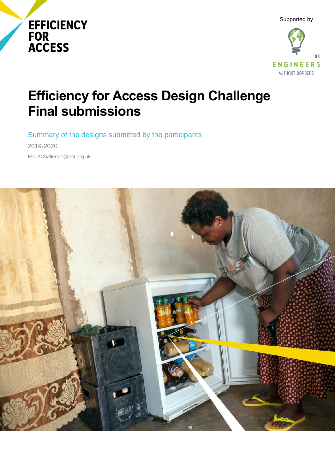





# **Efficiency for Access Design Challenge Final submissions**

Summary of the designs submitted by the participants

2019-2020 EforAChallenge@est.org.uk

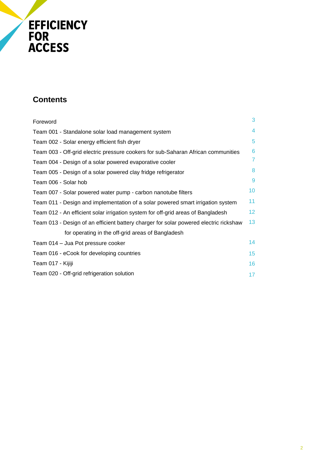# EFFICIENCY<br>FOR<br>ACCESS

## **Contents**

| Foreword                                                                              | 3                |
|---------------------------------------------------------------------------------------|------------------|
| Team 001 - Standalone solar load management system                                    | 4                |
| Team 002 - Solar energy efficient fish dryer                                          | 5                |
| Team 003 - Off-grid electric pressure cookers for sub-Saharan African communities     | 6                |
| Team 004 - Design of a solar powered evaporative cooler                               | $\overline{7}$   |
| Team 005 - Design of a solar powered clay fridge refrigerator                         | 8                |
| Team 006 - Solar hob                                                                  | 9                |
| Team 007 - Solar powered water pump - carbon nanotube filters                         | 10 <sup>°</sup>  |
| Team 011 - Design and implementation of a solar powered smart irrigation system       | 11               |
| Team 012 - An efficient solar irrigation system for off-grid areas of Bangladesh      | 12 <sup>2</sup>  |
| Team 013 - Design of an efficient battery charger for solar powered electric rickshaw | 13 <sup>°</sup>  |
| for operating in the off-grid areas of Bangladesh                                     |                  |
| Team 014 - Jua Pot pressure cooker                                                    | 14               |
| Team 016 - eCook for developing countries                                             | 15 <sub>15</sub> |
| Team 017 - Kijiji                                                                     | 16               |
| Team 020 - Off-grid refrigeration solution                                            | 17               |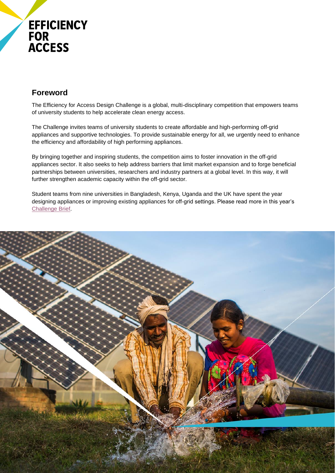## **EFFICIENCY FOR ACCESS**

## **Foreword**

The Efficiency for Access Design Challenge is a global, multi-disciplinary competition that empowers teams of university students to help accelerate clean energy access.

The Challenge invites teams of university students to create affordable and high-performing off-grid appliances and supportive technologies. To provide sustainable energy for all, we urgently need to enhance the efficiency and affordability of high performing appliances.

By bringing together and inspiring students, the competition aims to foster innovation in the off-grid appliances sector. It also seeks to help address barriers that limit market expansion and to forge beneficial partnerships between universities, researchers and industry partners at a global level. In this way, it will further strengthen academic capacity within the off-grid sector.

Student teams from nine universities in Bangladesh, Kenya, Uganda and the UK have spent the year designing appliances or improving existing appliances for off-grid settings. Please read more in this year's [Challenge Brief.](https://storage.googleapis.com/e4a-website-assets/Efficiency-for-Access-Design-Challenge-Challenge-brief.pdf)

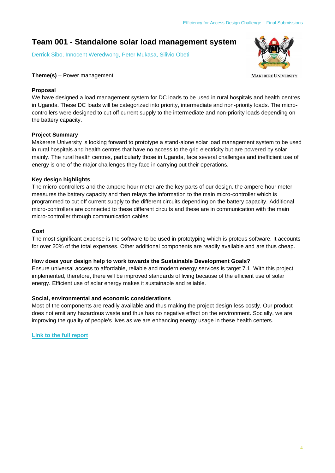## **Team 001 - Standalone solar load management system**

Derrick Sibo, Innocent Weredwong, Peter Mukasa, Silivio Obeti



**MAKERERE UNIVERSITY** 

#### **Theme(s)** – Power management

#### **Proposal**

We have designed a load management system for DC loads to be used in rural hospitals and health centres in Uganda. These DC loads will be categorized into priority, intermediate and non-priority loads. The microcontrollers were designed to cut off current supply to the intermediate and non-priority loads depending on the battery capacity.

#### **Project Summary**

Makerere University is looking forward to prototype a stand-alone solar load management system to be used in rural hospitals and health centres that have no access to the grid electricity but are powered by solar mainly. The rural health centres, particularly those in Uganda, face several challenges and inefficient use of energy is one of the major challenges they face in carrying out their operations.

#### **Key design highlights**

The micro-controllers and the ampere hour meter are the key parts of our design. the ampere hour meter measures the battery capacity and then relays the information to the main micro-controller which is programmed to cut off current supply to the different circuits depending on the battery capacity. Additional micro-controllers are connected to these different circuits and these are in communication with the main micro-controller through communication cables.

#### **Cost**

The most significant expense is the software to be used in prototyping which is proteus software. It accounts for over 20% of the total expenses. Other additional components are readily available and are thus cheap.

#### **How does your design help to work towards the Sustainable Development Goals?**

Ensure universal access to affordable, reliable and modern energy services is target 7.1. With this project implemented, therefore, there will be improved standards of living because of the efficient use of solar energy. Efficient use of solar energy makes it sustainable and reliable.

#### **Social, environmental and economic considerations**

Most of the components are readily available and thus making the project design less costly. Our product does not emit any hazardous waste and thus has no negative effect on the environment. Socially, we are improving the quality of people's lives as we are enhancing energy usage in these health centers.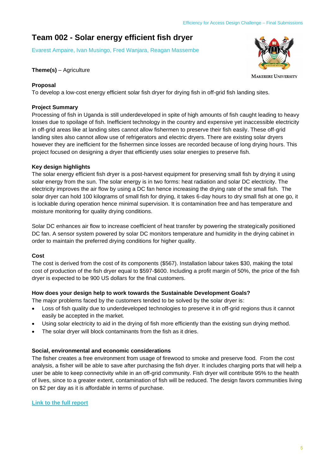## **Team 002 - Solar energy efficient fish dryer**

Evarest Ampaire, Ivan Musingo, Fred Wanjara, Reagan Massembe

#### **Theme(s)** – Agriculture

#### **Proposal**

To develop a low-cost energy efficient solar fish dryer for drying fish in off-grid fish landing sites.

#### **Project Summary**

Processing of fish in Uganda is still underdeveloped in spite of high amounts of fish caught leading to heavy losses due to spoilage of fish. Inefficient technology in the country and expensive yet inaccessible electricity in off-grid areas like at landing sites cannot allow fishermen to preserve their fish easily. These off-grid landing sites also cannot allow use of refrigerators and electric dryers. There are existing solar dryers however they are inefficient for the fishermen since losses are recorded because of long drying hours. This project focused on designing a dryer that efficiently uses solar energies to preserve fish.

#### **Key design highlights**

The solar energy efficient fish dryer is a post-harvest equipment for preserving small fish by drying it using solar energy from the sun. The solar energy is in two forms: heat radiation and solar DC electricity. The electricity improves the air flow by using a DC fan hence increasing the drying rate of the small fish. The solar dryer can hold 100 kilograms of small fish for drying, it takes 6-day hours to dry small fish at one go, it is lockable during operation hence minimal supervision. It is contamination free and has temperature and moisture monitoring for quality drying conditions.

Solar DC enhances air flow to increase coefficient of heat transfer by powering the strategically positioned DC fan. A sensor system powered by solar DC monitors temperature and humidity in the drying cabinet in order to maintain the preferred drying conditions for higher quality.

#### **Cost**

The cost is derived from the cost of its components (\$567). Installation labour takes \$30, making the total cost of production of the fish dryer equal to \$597-\$600. Including a profit margin of 50%, the price of the fish dryer is expected to be 900 US dollars for the final customers.

#### **How does your design help to work towards the Sustainable Development Goals?**

The major problems faced by the customers tended to be solved by the solar dryer is:

- Loss of fish quality due to underdeveloped technologies to preserve it in off-grid regions thus it cannot easily be accepted in the market.
- Using solar electricity to aid in the drying of fish more efficiently than the existing sun drying method.
- The solar dryer will block contaminants from the fish as it dries.

#### **Social, environmental and economic considerations**

The fisher creates a free environment from usage of firewood to smoke and preserve food. From the cost analysis, a fisher will be able to save after purchasing the fish dryer. It includes charging ports that will help a user be able to keep connectivity while in an off-grid community. Fish dryer will contribute 95% to the health of lives, since to a greater extent, contamination of fish will be reduced. The design favors communities living on \$2 per day as it is affordable in terms of purchase.

#### **[Link to the full report](https://www.jotform.com/uploads/EWBFinance/200975017481354/4627909728567353624/MAKERERE%20UNIVERSITY-SOLAR%20ENERGY%20EFFICIENT%20FISH%20DRYER-REPORT%20SUBMISSION.pdf)**

5



**MAKERERE UNIVERSITY**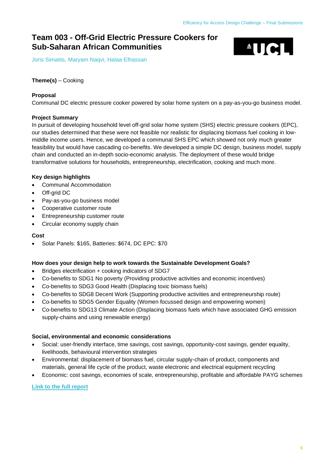$\triangle$ UCL

## **Team 003 - Off-Grid Electric Pressure Cookers for Sub-Saharan African Communities**

Joris Simaitis, Maryam Naqvi, Halaa Elhassan

#### **Theme(s)** – Cooking

#### **Proposal**

Communal DC electric pressure cooker powered by solar home system on a pay-as-you-go business model.

#### **Project Summary**

In pursuit of developing household level off-grid solar home system (SHS) electric pressure cookers (EPC), our studies determined that these were not feasible nor realistic for displacing biomass fuel cooking in lowmiddle income users. Hence, we developed a communal SHS EPC which showed not only much greater feasibility but would have cascading co-benefits. We developed a simple DC design, business model, supply chain and conducted an in-depth socio-economic analysis. The deployment of these would bridge transformative solutions for households, entrepreneurship, electrification, cooking and much more.

#### **Key design highlights**

- Communal Accommodation
- Off-grid DC
- Pay-as-you-go business model
- Cooperative customer route
- Entrepreneurship customer route
- Circular economy supply chain

#### **Cost**

• Solar Panels: \$165, Batteries: \$674, DC EPC: \$70

#### **How does your design help to work towards the Sustainable Development Goals?**

- Bridges electrification + cooking indicators of SDG7
- Co-benefits to SDG1 No poverty (Providing productive activities and economic incentives)
- Co-benefits to SDG3 Good Health (Displacing toxic biomass fuels)
- Co-benefits to SDG8 Decent Work (Supporting productive activities and entrepreneurship route)
- Co-benefits to SDG5 Gender Equality (Women focussed design and empowering women)
- Co-benefits to SDG13 Climate Action (Displacing biomass fuels which have associated GHG emission supply-chains and using renewable energy)

#### **Social, environmental and economic considerations**

- Social: user-friendly interface, time savings, cost savings, opportunity-cost savings, gender equality, livelihoods, behavioural intervention strategies
- Environmental: displacement of biomass fuel, circular supply-chain of product, components and materials, general life cycle of the product, waste electronic and electrical equipment recycling
- Economic: cost savings, economies of scale, entrepreneurship, profitable and affordable PAYG schemes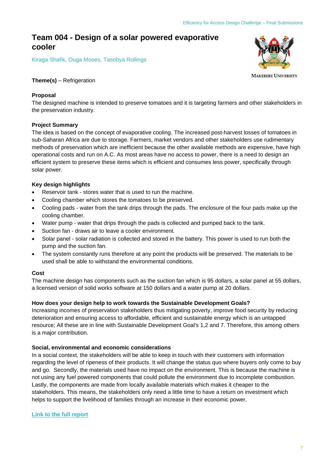### **Team 004 - Design of a solar powered evaporative cooler**

Kiraga Shafik, Ouga Moses, Tasobya Rollings



**MAKERERE UNIVERSITY** 

#### **Theme(s)** – Refrigeration

#### **Proposal**

The designed machine is intended to preserve tomatoes and it is targeting farmers and other stakeholders in the preservation industry.

#### **Project Summary**

The idea is based on the concept of evaporative cooling. The increased post-harvest losses of tomatoes in sub-Saharan Africa are due to storage. Farmers, market vendors and other stakeholders use rudimentary methods of preservation which are inefficient because the other available methods are expensive, have high operational costs and run on A.C. As most areas have no access to power, there is a need to design an efficient system to preserve these items which is efficient and consumes less power, specifically through solar power.

#### **Key design highlights**

- Reservoir tank stores water that is used to run the machine.
- Cooling chamber which stores the tomatoes to be preserved.
- Cooling pads water from the tank drips through the pads. The enclosure of the four pads make up the cooling chamber.
- Water pump water that drips through the pads is collected and pumped back to the tank.
- Suction fan draws air to leave a cooler environment.
- Solar panel solar radiation is collected and stored in the battery. This power is used to run both the pump and the suction fan.
- The system constantly runs therefore at any point the products will be preserved. The materials to be used shall be able to withstand the environmental conditions.

#### **Cost**

The machine design has components such as the suction fan which is 95 dollars, a solar panel at 55 dollars, a licensed version of solid works software at 150 dollars and a water pump at 20 dollars.

#### **How does your design help to work towards the Sustainable Development Goals?**

Increasing incomes of preservation stakeholders thus mitigating poverty, improve food security by reducing deterioration and ensuring access to affordable, efficient and sustainable energy which is an untapped resource; All these are in line with Sustainable Development Goal's 1,2 and 7. Therefore, this among others is a major contribution.

#### **Social, environmental and economic considerations**

In a social context, the stakeholders will be able to keep in touch with their customers with information regarding the level of ripeness of their products. It will change the status quo where buyers only come to buy and go. Secondly, the materials used have no impact on the environment. This is because the machine is not using any fuel powered components that could pollute the environment due to incomplete combustion. Lastly, the components are made from locally available materials which makes it cheaper to the stakeholders. This means, the stakeholders only need a little time to have a return on investment which helps to support the livelihood of families through an increase in their economic power.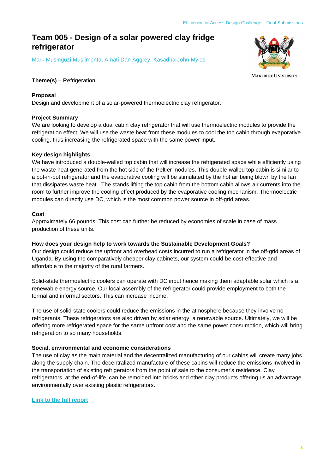## **Team 005 - Design of a solar powered clay fridge refrigerator**

Mark Musinguzi Musiimenta, Amati Dan Aggrey, Kasadha John Myles

#### **Theme(s)** – Refrigeration

#### **Proposal**

Design and development of a solar-powered thermoelectric clay refrigerator.

#### **Project Summary**

We are looking to develop a dual cabin clay refrigerator that will use thermoelectric modules to provide the refrigeration effect. We will use the waste heat from these modules to cool the top cabin through evaporative cooling, thus increasing the refrigerated space with the same power input.

#### **Key design highlights**

We have introduced a double-walled top cabin that will increase the refrigerated space while efficiently using the waste heat generated from the hot side of the Peltier modules. This double-walled top cabin is similar to a pot-in-pot refrigerator and the evaporative cooling will be stimulated by the hot air being blown by the fan that dissipates waste heat. The stands lifting the top cabin from the bottom cabin allows air currents into the room to further improve the cooling effect produced by the evaporative cooling mechanism. Thermoelectric modules can directly use DC, which is the most common power source in off-grid areas.

#### **Cost**

Approximately 66 pounds. This cost can further be reduced by economies of scale in case of mass production of these units.

#### **How does your design help to work towards the Sustainable Development Goals?**

Our design could reduce the upfront and overhead costs incurred to run a refrigerator in the off-grid areas of Uganda. By using the comparatively cheaper clay cabinets, our system could be cost-effective and affordable to the majority of the rural farmers.

Solid-state thermoelectric coolers can operate with DC input hence making them adaptable solar which is a renewable energy source. Our local assembly of the refrigerator could provide employment to both the formal and informal sectors. This can increase income.

The use of solid-state coolers could reduce the emissions in the atmosphere because they involve no refrigerants. These refrigerators are also driven by solar energy, a renewable source. Ultimately, we will be offering more refrigerated space for the same upfront cost and the same power consumption, which will bring refrigeration to so many households.

#### **Social, environmental and economic considerations**

The use of clay as the main material and the decentralized manufacturing of our cabins will create many jobs along the supply chain. The decentralized manufacture of these cabins will reduce the emissions involved in the transportation of existing refrigerators from the point of sale to the consumer's residence. Clay refrigerators, at the end-of-life, can be remolded into bricks and other clay products offering us an advantage environmentally over existing plastic refrigerators.

**[Link to the full report](https://www.jotform.com/uploads/EWBFinance/200975017481354/4627800781715263295/Makerere%20University_Design%20of%20Solar%20Clay%20Fridge_ReportSubmission.pdf)**



**MAKERERE UNIVERSITY**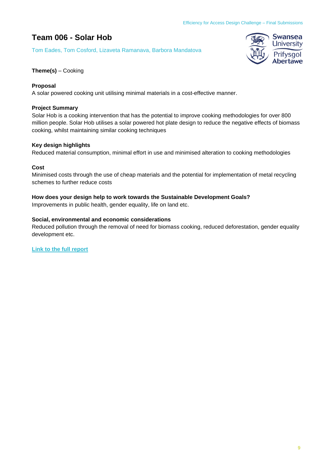## **Team 006 - Solar Hob**

Tom Eades, Tom Cosford, Lizaveta Ramanava, Barbora Mandatova



#### **Theme(s)** – Cooking

#### **Proposal**

A solar powered cooking unit utilising minimal materials in a cost-effective manner.

#### **Project Summary**

Solar Hob is a cooking intervention that has the potential to improve cooking methodologies for over 800 million people. Solar Hob utilises a solar powered hot plate design to reduce the negative effects of biomass cooking, whilst maintaining similar cooking techniques

#### **Key design highlights**

Reduced material consumption, minimal effort in use and minimised alteration to cooking methodologies

#### **Cost**

Minimised costs through the use of cheap materials and the potential for implementation of metal recycling schemes to further reduce costs

#### **How does your design help to work towards the Sustainable Development Goals?**

Improvements in public health, gender equality, life on land etc.

#### **Social, environmental and economic considerations**

Reduced pollution through the removal of need for biomass cooking, reduced deforestation, gender equality development etc.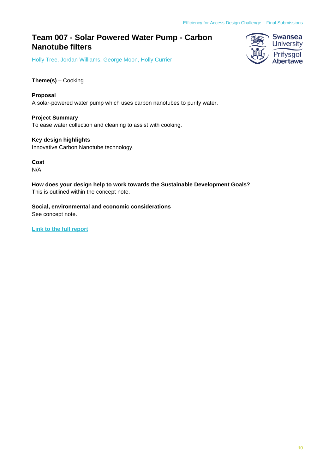## **Team 007 - Solar Powered Water Pump - Carbon Nanotube filters**

Holly Tree, Jordan Williams, George Moon, Holly Currier



**Proposal** A solar-powered water pump which uses carbon nanotubes to purify water.

**Project Summary** To ease water collection and cleaning to assist with cooking.

**Key design highlights** Innovative Carbon Nanotube technology.

**Cost** N/A

**How does your design help to work towards the Sustainable Development Goals?** This is outlined within the concept note.

**Social, environmental and economic considerations** See concept note.

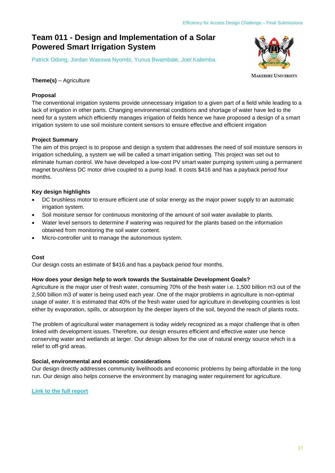## **Team 011 - Design and Implementation of a Solar Powered Smart Irrigation System**

Patrick Odong, Jordan Wasswa Nyombi, Yunus Bwambale, Joel Kalemba



**MAKERERE UNIVERSITY** 

#### **Theme(s)** – Agriculture

#### **Proposal**

The conventional irrigation systems provide unnecessary irrigation to a given part of a field while leading to a lack of irrigation in other parts. Changing environmental conditions and shortage of water have led to the need for a system which efficiently manages irrigation of fields hence we have proposed a design of a smart irrigation system to use soil moisture content sensors to ensure effective and efficient irrigation

#### **Project Summary**

The aim of this project is to propose and design a system that addresses the need of soil moisture sensors in irrigation scheduling, a system we will be called a smart irrigation setting. This project was set out to eliminate human control. We have developed a low-cost PV smart water pumping system using a permanent magnet brushless DC motor drive coupled to a pump load. It costs \$416 and has a payback period four months.

#### **Key design highlights**

- DC brushless motor to ensure efficient use of solar energy as the major power supply to an automatic irrigation system.
- Soil moisture sensor for continuous monitoring of the amount of soil water available to plants.
- Water level sensors to determine if watering was required for the plants based on the information obtained from monitoring the soil water content.
- Micro-controller unit to manage the autonomous system.

#### **Cost**

Our design costs an estimate of \$416 and has a payback period four months.

#### **How does your design help to work towards the Sustainable Development Goals?**

Agriculture is the major user of fresh water, consuming 70% of the fresh water i.e. 1,500 billion m3 out of the 2,500 billion m3 of water is being used each year. One of the major problems in agriculture is non-optimal usage of water. It is estimated that 40% of the fresh water used for agriculture in developing countries is lost either by evaporation, spills, or absorption by the deeper layers of the soil, beyond the reach of plants roots.

The problem of agricultural water management is today widely recognized as a major challenge that is often linked with development issues. Therefore, our design ensures efficient and effective water use hence conserving water and wetlands at larger. Our design allows for the use of natural energy source which is a relief to off-grid areas.

#### **Social, environmental and economic considerations**

Our design directly addresses community livelihoods and economic problems by being affordable in the long run. Our design also helps conserve the environment by managing water requirement for agriculture.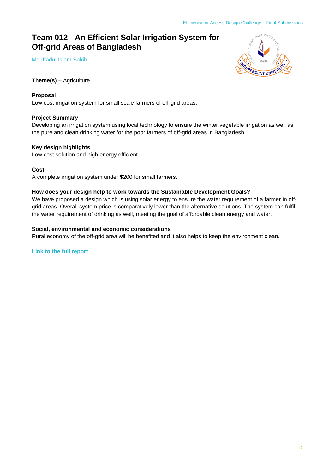## **Team 012 - An Efficient Solar Irrigation System for Off-grid Areas of Bangladesh**

Md Iftadul Islam Sakib



**Theme(s)** – Agriculture

#### **Proposal**

Low cost irrigation system for small scale farmers of off-grid areas.

#### **Project Summary**

Developing an irrigation system using local technology to ensure the winter vegetable irrigation as well as the pure and clean drinking water for the poor farmers of off-grid areas in Bangladesh.

#### **Key design highlights**

Low cost solution and high energy efficient.

#### **Cost**

A complete irrigation system under \$200 for small farmers.

#### **How does your design help to work towards the Sustainable Development Goals?**

We have proposed a design which is using solar energy to ensure the water requirement of a farmer in offgrid areas. Overall system price is comparatively lower than the alternative solutions. The system can fulfil the water requirement of drinking as well, meeting the goal of affordable clean energy and water.

#### **Social, environmental and economic considerations**

Rural economy of the off-grid area will be benefited and it also helps to keep the environment clean.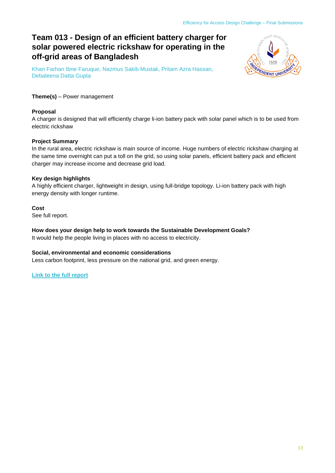## **Team 013 - Design of an efficient battery charger for solar powered electric rickshaw for operating in the off-grid areas of Bangladesh**

Khan Farhan Ibne Faruque, Nazmus Sakib Mustak, Pritam Azra Hassan, Debaleena Datta Gupta



#### **Theme(s)** – Power management

#### **Proposal**

A charger is designed that will efficiently charge li-ion battery pack with solar panel which is to be used from electric rickshaw

#### **Project Summary**

In the rural area, electric rickshaw is main source of income. Huge numbers of electric rickshaw charging at the same time overnight can put a toll on the grid, so using solar panels, efficient battery pack and efficient charger may increase income and decrease grid load.

#### **Key design highlights**

A highly efficient charger, lightweight in design, using full-bridge topology. Li-ion battery pack with high energy density with longer runtime.

#### **Cost**

See full report.

**How does your design help to work towards the Sustainable Development Goals?** It would help the people living in places with no access to electricity.

#### **Social, environmental and economic considerations**

Less carbon footprint, less pressure on the national grid, and green energy.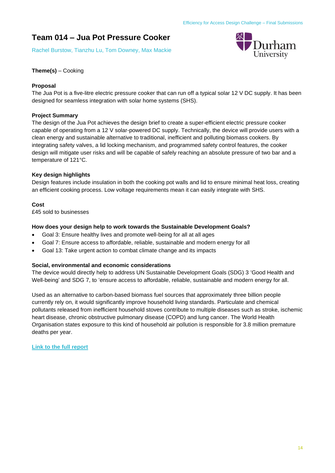## **Team 014 – Jua Pot Pressure Cooker**

Rachel Burstow, Tianzhu Lu, Tom Downey, Max Mackie



#### **Theme(s)** – Cooking

#### **Proposal**

The Jua Pot is a five-litre electric pressure cooker that can run off a typical solar 12 V DC supply. It has been designed for seamless integration with solar home systems (SHS).

#### **Project Summary**

The design of the Jua Pot achieves the design brief to create a super-efficient electric pressure cooker capable of operating from a 12 V solar-powered DC supply. Technically, the device will provide users with a clean energy and sustainable alternative to traditional, inefficient and polluting biomass cookers. By integrating safety valves, a lid locking mechanism, and programmed safety control features, the cooker design will mitigate user risks and will be capable of safely reaching an absolute pressure of two bar and a temperature of 121°C.

#### **Key design highlights**

Design features include insulation in both the cooking pot walls and lid to ensure minimal heat loss, creating an efficient cooking process. Low voltage requirements mean it can easily integrate with SHS.

#### **Cost**

£45 sold to businesses

#### **How does your design help to work towards the Sustainable Development Goals?**

- Goal 3: Ensure healthy lives and promote well-being for all at all ages
- Goal 7: Ensure access to affordable, reliable, sustainable and modern energy for all
- Goal 13: Take urgent action to combat climate change and its impacts

#### **Social, environmental and economic considerations**

The device would directly help to address UN Sustainable Development Goals (SDG) 3 'Good Health and Well-being' and SDG 7, to 'ensure access to affordable, reliable, sustainable and modern energy for all.

Used as an alternative to carbon-based biomass fuel sources that approximately three billion people currently rely on, it would significantly improve household living standards. Particulate and chemical pollutants released from inefficient household stoves contribute to multiple diseases such as stroke, ischemic heart disease, chronic obstructive pulmonary disease (COPD) and lung cancer. The World Health Organisation states exposure to this kind of household air pollution is responsible for 3.8 million premature deaths per year.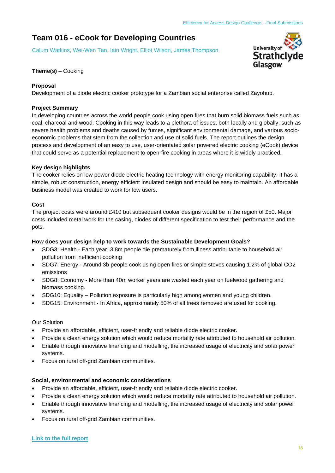## **Team 016 - eCook for Developing Countries**

Calum Watkins, Wei-Wen Tan, Iain Wright, Elliot Wilson, James Thompson



#### **Theme(s)** – Cooking

#### **Proposal**

Development of a diode electric cooker prototype for a Zambian social enterprise called Zayohub.

#### **Project Summary**

In developing countries across the world people cook using open fires that burn solid biomass fuels such as coal, charcoal and wood. Cooking in this way leads to a plethora of issues, both locally and globally, such as severe health problems and deaths caused by fumes, significant environmental damage, and various socioeconomic problems that stem from the collection and use of solid fuels. The report outlines the design process and development of an easy to use, user-orientated solar powered electric cooking (eCook) device that could serve as a potential replacement to open-fire cooking in areas where it is widely practiced.

#### **Key design highlights**

The cooker relies on low power diode electric heating technology with energy monitoring capability. It has a simple, robust construction, energy efficient insulated design and should be easy to maintain. An affordable business model was created to work for low users.

#### **Cost**

The project costs were around £410 but subsequent cooker designs would be in the region of £50. Major costs included metal work for the casing, diodes of different specification to test their performance and the pots.

#### **How does your design help to work towards the Sustainable Development Goals?**

- SDG3: Health Each year, 3.8m people die prematurely from illness attributable to household air pollution from inefficient cooking
- SDG7: Energy Around 3b people cook using open fires or simple stoves causing 1.2% of global CO2 emissions
- SDG8: Economy More than 40m worker years are wasted each year on fuelwood gathering and biomass cooking.
- SDG10: Equality Pollution exposure is particularly high among women and young children.
- SDG15: Environment In Africa, approximately 50% of all trees removed are used for cooking.

#### Our Solution

- Provide an affordable, efficient, user-friendly and reliable diode electric cooker.
- Provide a clean energy solution which would reduce mortality rate attributed to household air pollution.
- Enable through innovative financing and modelling, the increased usage of electricity and solar power systems.
- Focus on rural off-grid Zambian communities.

#### **Social, environmental and economic considerations**

- Provide an affordable, efficient, user-friendly and reliable diode electric cooker.
- Provide a clean energy solution which would reduce mortality rate attributed to household air pollution.
- Enable through innovative financing and modelling, the increased usage of electricity and solar power systems.
- Focus on rural off-grid Zambian communities.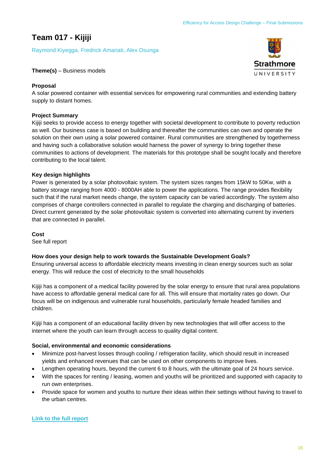## **Team 017 - Kijiji**

Raymond Kiyegga, Fredrick Amariati, Alex Osunga

#### **Theme(s)** – Business models

#### **Proposal**

A solar powered container with essential services for empowering rural communities and extending battery supply to distant homes.

#### **Project Summary**

Kijiji seeks to provide access to energy together with societal development to contribute to poverty reduction as well. Our business case is based on building and thereafter the communities can own and operate the solution on their own using a solar powered container. Rural communities are strengthened by togetherness and having such a collaborative solution would harness the power of synergy to bring together these communities to actions of development. The materials for this prototype shall be sought locally and therefore contributing to the local talent.

#### **Key design highlights**

Power is generated by a solar photovoltaic system. The system sizes ranges from 15kW to 50Kw, with a battery storage ranging from 4000 - 8000AH able to power the applications. The range provides flexibility such that if the rural market needs change, the system capacity can be varied accordingly. The system also comprises of charge controllers connected in parallel to regulate the charging and discharging of batteries. Direct current generated by the solar photovoltaic system is converted into alternating current by inverters that are connected in parallel.

#### **Cost**

See full report

#### **How does your design help to work towards the Sustainable Development Goals?**

Ensuring universal access to affordable electricity means investing in clean energy sources such as solar energy. This will reduce the cost of electricity to the small households

Kijiji has a component of a medical facility powered by the solar energy to ensure that rural area populations have access to affordable general medical care for all. This will ensure that mortality rates go down. Our focus will be on indigenous and vulnerable rural households, particularly female headed families and children.

Kijiji has a component of an educational facility driven by new technologies that will offer access to the internet where the youth can learn through access to quality digital content.

#### **Social, environmental and economic considerations**

- Minimize post-harvest losses through cooling / refrigeration facility, which should result in increased yields and enhanced revenues that can be used on other components to improve lives.
- Lengthen operating hours, beyond the current 6 to 8 hours, with the ultimate goal of 24 hours service.
- With the spaces for renting / leasing, women and youths will be prioritized and supported with capacity to run own enterprises.
- Provide space for women and youths to nurture their ideas within their settings without having to travel to the urban centres.